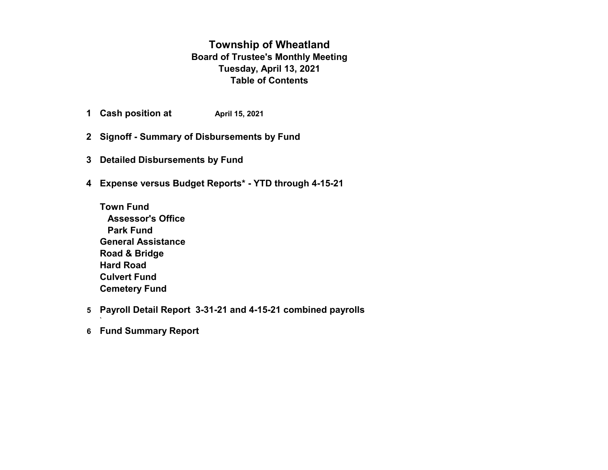#### **Township of Wheatland Board of Trustee's Monthly Meeting Tuesday, April 13, 2021 Table of Contents**

- **1 Cash position at April 15, 2021**
- **2 Signoff Summary of Disbursements by Fund**
- **3 Detailed Disbursements by Fund**
- **4 Expense versus Budget Reports\* YTD through 4-15-21**
	- **Town Fund Assessor's Office Park Fund General Assistance Road & Bridge Hard Road Culvert Fund Cemetery Fund**
- **5 Payroll Detail Report 3-31-21 and 4-15-21 combined payrolls**
- **6 Fund Summary Report**

`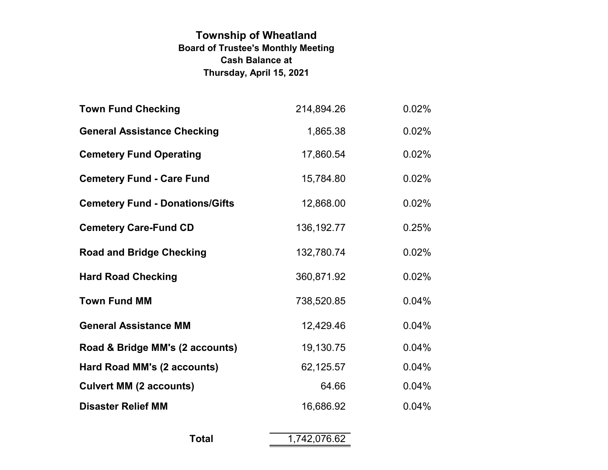# **Township of Wheatland Board of Trustee's Monthly Meeting Thursday, April 15, 2021 Cash Balance at**

| 214,894.26   | 0.02% |
|--------------|-------|
| 1,865.38     | 0.02% |
| 17,860.54    | 0.02% |
| 15,784.80    | 0.02% |
| 12,868.00    | 0.02% |
| 136, 192. 77 | 0.25% |
| 132,780.74   | 0.02% |
| 360,871.92   | 0.02% |
| 738,520.85   | 0.04% |
| 12,429.46    | 0.04% |
| 19,130.75    | 0.04% |
| 62,125.57    | 0.04% |
| 64.66        | 0.04% |
| 16,686.92    | 0.04% |
|              |       |

| <b>Total</b> | 1,742,076.62 |
|--------------|--------------|
|              |              |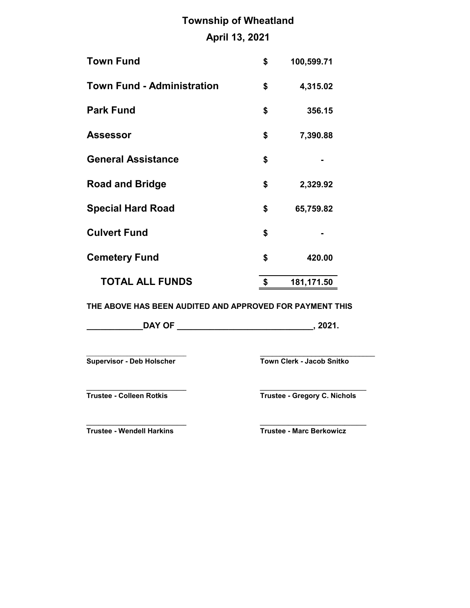# **Township of Wheatland**

# **April 13, 2021**

| <b>Town Fund</b>                  | \$<br>100,599.71 |
|-----------------------------------|------------------|
| <b>Town Fund - Administration</b> | \$<br>4,315.02   |
| <b>Park Fund</b>                  | \$<br>356.15     |
| <b>Assessor</b>                   | \$<br>7,390.88   |
| <b>General Assistance</b>         | \$               |
| <b>Road and Bridge</b>            | \$<br>2,329.92   |
| <b>Special Hard Road</b>          | \$<br>65,759.82  |
| <b>Culvert Fund</b>               | \$               |
| <b>Cemetery Fund</b>              | \$<br>420.00     |
| <b>TOTAL ALL FUNDS</b>            | \$<br>181,171.50 |

**THE ABOVE HAS BEEN AUDITED AND APPROVED FOR PAYMENT THIS**

| <b>DAY OF</b><br>nnn,<br>ZUZ 1. |
|---------------------------------|
|---------------------------------|

\_\_\_\_\_\_\_\_\_\_\_\_\_\_\_\_\_\_\_\_\_\_\_\_\_\_\_\_\_\_\_\_ \_\_\_\_\_\_\_\_\_\_\_\_\_\_\_\_\_\_\_\_\_\_\_\_\_\_\_\_\_ **Supervisor - Deb Holscher Town Clerk - Jacob Snitko**

**\_\_\_\_\_\_\_\_\_\_\_\_\_\_\_\_\_\_\_\_\_\_\_\_\_\_\_\_\_\_\_\_ \_\_\_\_\_\_\_\_\_\_\_\_\_\_\_\_\_\_\_\_\_\_\_\_\_\_\_\_\_\_\_\_\_\_**

**Trustee - Colleen Rotkis Trustee - Gregory C. Nichols**

**\_\_\_\_\_\_\_\_\_\_\_\_\_\_\_\_\_\_\_\_\_\_\_\_\_\_\_\_\_\_\_\_ \_\_\_\_\_\_\_\_\_\_\_\_\_\_\_\_\_\_\_\_\_\_\_\_\_\_\_\_\_\_\_\_\_\_ Trustee - Wendell Harkins Trustee - Marc Berkowicz**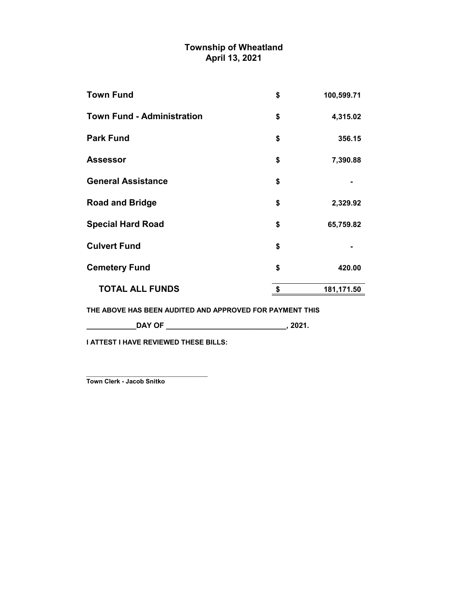#### **Township of Wheatland April 13, 2021**

| <b>Town Fund</b>                  | \$<br>100,599.71 |
|-----------------------------------|------------------|
| <b>Town Fund - Administration</b> | \$<br>4,315.02   |
| <b>Park Fund</b>                  | \$<br>356.15     |
| <b>Assessor</b>                   | \$<br>7,390.88   |
| <b>General Assistance</b>         | \$               |
| <b>Road and Bridge</b>            | \$<br>2,329.92   |
| <b>Special Hard Road</b>          | \$<br>65,759.82  |
| <b>Culvert Fund</b>               | \$               |
| <b>Cemetery Fund</b>              | \$<br>420.00     |
| <b>TOTAL ALL FUNDS</b>            | \$<br>181,171.50 |
|                                   |                  |

**THE ABOVE HAS BEEN AUDITED AND APPROVED FOR PAYMENT THIS**

**\_\_\_\_\_\_\_\_\_\_\_\_DAY OF \_\_\_\_\_\_\_\_\_\_\_\_\_\_\_\_\_\_\_\_\_\_\_\_\_\_\_\_\_, 2021.**

 $-$ 

**I ATTEST I HAVE REVIEWED THESE BILLS:**

**Town Clerk - Jacob Snitko**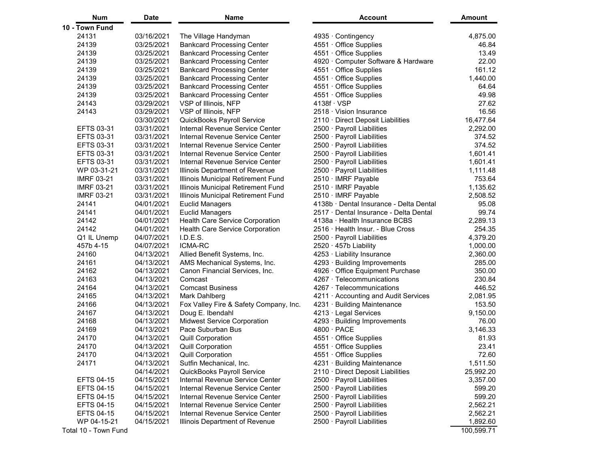| <b>Num</b>           | Date       | <b>Name</b>                            | <b>Account</b>                          | Amount     |
|----------------------|------------|----------------------------------------|-----------------------------------------|------------|
| 10 - Town Fund       |            |                                        |                                         |            |
| 24131                | 03/16/2021 | The Village Handyman                   | 4935 · Contingency                      | 4,875.00   |
| 24139                | 03/25/2021 | <b>Bankcard Processing Center</b>      | $4551 \cdot$ Office Supplies            | 46.84      |
| 24139                | 03/25/2021 | <b>Bankcard Processing Center</b>      | 4551 · Office Supplies                  | 13.49      |
| 24139                | 03/25/2021 | <b>Bankcard Processing Center</b>      | 4920 · Computer Software & Hardware     | 22.00      |
| 24139                | 03/25/2021 | <b>Bankcard Processing Center</b>      | 4551 · Office Supplies                  | 161.12     |
| 24139                | 03/25/2021 | <b>Bankcard Processing Center</b>      | 4551 Office Supplies                    | 1,440.00   |
| 24139                | 03/25/2021 | <b>Bankcard Processing Center</b>      | 4551 · Office Supplies                  | 64.64      |
| 24139                | 03/25/2021 | <b>Bankcard Processing Center</b>      | $4551 \cdot$ Office Supplies            | 49.98      |
| 24143                | 03/29/2021 | VSP of Illinois, NFP                   | $4138f \cdot VSP$                       | 27.62      |
| 24143                | 03/29/2021 | VSP of Illinois, NFP                   | 2518 · Vision Insurance                 | 16.56      |
|                      | 03/30/2021 | QuickBooks Payroll Service             | 2110 · Direct Deposit Liabilities       | 16,477.64  |
| EFTS 03-31           | 03/31/2021 | Internal Revenue Service Center        | 2500 · Payroll Liabilities              | 2,292.00   |
| EFTS 03-31           | 03/31/2021 | Internal Revenue Service Center        | 2500 · Payroll Liabilities              | 374.52     |
| EFTS 03-31           | 03/31/2021 | Internal Revenue Service Center        | 2500 · Payroll Liabilities              | 374.52     |
| EFTS 03-31           | 03/31/2021 | Internal Revenue Service Center        | 2500 · Payroll Liabilities              | 1,601.41   |
| EFTS 03-31           | 03/31/2021 | Internal Revenue Service Center        | 2500 · Payroll Liabilities              | 1,601.41   |
| WP 03-31-21          | 03/31/2021 | Illinois Department of Revenue         | 2500 · Payroll Liabilities              | 1,111.48   |
| <b>IMRF 03-21</b>    | 03/31/2021 | Illinois Municipal Retirement Fund     | 2510 · IMRF Payable                     | 753.64     |
| <b>IMRF 03-21</b>    | 03/31/2021 | Illinois Municipal Retirement Fund     | 2510 · IMRF Payable                     | 1,135.62   |
| <b>IMRF 03-21</b>    | 03/31/2021 | Illinois Municipal Retirement Fund     | 2510 · IMRF Payable                     | 2,508.52   |
| 24141                | 04/01/2021 | <b>Euclid Managers</b>                 | 4138b · Dental Insurance - Delta Dental | 95.08      |
| 24141                | 04/01/2021 | <b>Euclid Managers</b>                 | 2517 · Dental Insurance - Delta Dental  | 99.74      |
| 24142                | 04/01/2021 | Health Care Service Corporation        | 4138a · Health Insurance BCBS           | 2,289.13   |
| 24142                | 04/01/2021 | <b>Health Care Service Corporation</b> | 2516 · Health Insur. - Blue Cross       | 254.35     |
| Q1 IL Unemp          | 04/07/2021 | I.D.E.S.                               | 2500 · Payroll Liabilities              | 4,379.20   |
| 457b 4-15            | 04/07/2021 | <b>ICMA-RC</b>                         | 2520 457b Liability                     | 1,000.00   |
| 24160                | 04/13/2021 | Allied Benefit Systems, Inc.           | 4253 · Liability Insurance              | 2,360.00   |
| 24161                | 04/13/2021 | AMS Mechanical Systems, Inc.           | 4293 · Building Improvements            | 285.00     |
| 24162                | 04/13/2021 | Canon Financial Services, Inc.         | 4926 · Office Equipment Purchase        | 350.00     |
| 24163                | 04/13/2021 | Comcast                                | $4267 \cdot$ Telecommunications         | 230.84     |
| 24164                | 04/13/2021 | <b>Comcast Business</b>                | 4267 · Telecommunications               | 446.52     |
| 24165                | 04/13/2021 | Mark Dahlberg                          | 4211 Accounting and Audit Services      | 2,081.95   |
| 24166                | 04/13/2021 | Fox Valley Fire & Safety Company, Inc. | 4231 · Building Maintenance             | 153.50     |
| 24167                | 04/13/2021 | Doug E. Ibendahl                       | 4213 · Legal Services                   | 9,150.00   |
| 24168                | 04/13/2021 | <b>Midwest Service Corporation</b>     | 4293 · Building Improvements            | 76.00      |
| 24169                | 04/13/2021 | Pace Suburban Bus                      | $4800 \cdot PACE$                       | 3,146.33   |
| 24170                | 04/13/2021 | <b>Quill Corporation</b>               | 4551 Office Supplies                    | 81.93      |
| 24170                | 04/13/2021 | <b>Quill Corporation</b>               | 4551 Office Supplies                    | 23.41      |
| 24170                | 04/13/2021 | <b>Quill Corporation</b>               | 4551 Office Supplies                    | 72.60      |
| 24171                | 04/13/2021 | Sutfin Mechanical, Inc.                | 4231 · Building Maintenance             | 1,511.50   |
|                      | 04/14/2021 | QuickBooks Payroll Service             | 2110 · Direct Deposit Liabilities       | 25,992.20  |
| <b>EFTS 04-15</b>    | 04/15/2021 | Internal Revenue Service Center        | 2500 · Payroll Liabilities              | 3,357.00   |
| <b>EFTS 04-15</b>    | 04/15/2021 | Internal Revenue Service Center        | 2500 · Payroll Liabilities              | 599.20     |
| <b>EFTS 04-15</b>    | 04/15/2021 | Internal Revenue Service Center        | 2500 · Payroll Liabilities              | 599.20     |
| <b>EFTS 04-15</b>    | 04/15/2021 | Internal Revenue Service Center        | 2500 · Payroll Liabilities              | 2,562.21   |
| <b>EFTS 04-15</b>    | 04/15/2021 | Internal Revenue Service Center        | 2500 · Payroll Liabilities              | 2,562.21   |
| WP 04-15-21          | 04/15/2021 | Illinois Department of Revenue         | 2500 · Payroll Liabilities              | 1,892.60   |
| Total 10 - Town Fund |            |                                        |                                         | 100,599.71 |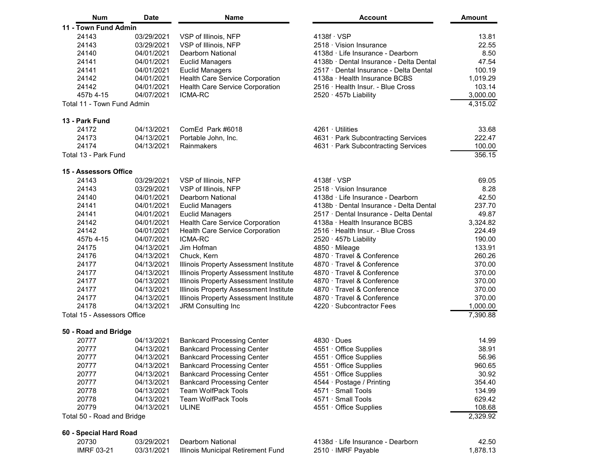| Num                         | Date       | Name                                   | <b>Account</b>                          | Amount   |
|-----------------------------|------------|----------------------------------------|-----------------------------------------|----------|
| 11 - Town Fund Admin        |            |                                        |                                         |          |
| 24143                       | 03/29/2021 | VSP of Illinois, NFP                   | $4138f \cdot VSP$                       | 13.81    |
| 24143                       | 03/29/2021 | VSP of Illinois, NFP                   | $2518 \cdot$ Vision Insurance           | 22.55    |
| 24140                       | 04/01/2021 | Dearborn National                      | 4138d · Life Insurance - Dearborn       | 8.50     |
| 24141                       | 04/01/2021 | <b>Euclid Managers</b>                 | 4138b · Dental Insurance - Delta Dental | 47.54    |
| 24141                       | 04/01/2021 | <b>Euclid Managers</b>                 | 2517 · Dental Insurance - Delta Dental  | 100.19   |
| 24142                       | 04/01/2021 | Health Care Service Corporation        | 4138a · Health Insurance BCBS           | 1,019.29 |
| 24142                       | 04/01/2021 | Health Care Service Corporation        | 2516 · Health Insur. - Blue Cross       | 103.14   |
| 457b 4-15                   | 04/07/2021 | <b>ICMA-RC</b>                         | $2520 \cdot 457b$ Liability             | 3,000.00 |
| Total 11 - Town Fund Admin  |            |                                        |                                         | 4,315.02 |
| 13 - Park Fund              |            |                                        |                                         |          |
| 24172                       | 04/13/2021 | ComEd Park #6018                       | 4261 Utilities                          | 33.68    |
| 24173                       | 04/13/2021 | Portable John, Inc.                    | 4631 · Park Subcontracting Services     | 222.47   |
| 24174                       | 04/13/2021 | Rainmakers                             | 4631 · Park Subcontracting Services     | 100.00   |
| Total 13 - Park Fund        |            |                                        |                                         | 356.15   |
|                             |            |                                        |                                         |          |
| 15 - Assessors Office       |            |                                        |                                         |          |
| 24143                       | 03/29/2021 | VSP of Illinois, NFP                   | $4138f \cdot VSP$                       | 69.05    |
| 24143                       | 03/29/2021 | VSP of Illinois, NFP                   | $2518 \cdot$ Vision Insurance           | 8.28     |
| 24140                       | 04/01/2021 | <b>Dearborn National</b>               | 4138d · Life Insurance - Dearborn       | 42.50    |
| 24141                       | 04/01/2021 | <b>Euclid Managers</b>                 | 4138b · Dental Insurance - Delta Dental | 237.70   |
| 24141                       | 04/01/2021 | Euclid Managers                        | 2517 · Dental Insurance - Delta Dental  | 49.87    |
| 24142                       | 04/01/2021 | Health Care Service Corporation        | 4138a · Health Insurance BCBS           | 3,324.82 |
| 24142                       | 04/01/2021 | Health Care Service Corporation        | 2516 · Health Insur. - Blue Cross       | 224.49   |
| 457b 4-15                   | 04/07/2021 | <b>ICMA-RC</b>                         | 2520 · 457b Liability                   | 190.00   |
| 24175                       | 04/13/2021 | Jim Hofman                             | 4850 · Mileage                          | 133.91   |
| 24176                       | 04/13/2021 | Chuck, Kern                            | 4870 · Travel & Conference              | 260.26   |
| 24177                       | 04/13/2021 | Illinois Property Assessment Institute | 4870 · Travel & Conference              | 370.00   |
| 24177                       | 04/13/2021 | Illinois Property Assessment Institute | 4870 · Travel & Conference              | 370.00   |
| 24177                       | 04/13/2021 | Illinois Property Assessment Institute | 4870 · Travel & Conference              | 370.00   |
| 24177                       | 04/13/2021 | Illinois Property Assessment Institute | 4870 · Travel & Conference              | 370.00   |
| 24177                       | 04/13/2021 | Illinois Property Assessment Institute | 4870 · Travel & Conference              | 370.00   |
| 24178                       | 04/13/2021 | JRM Consulting Inc                     | 4220 · Subcontractor Fees               | 1,000.00 |
| Total 15 - Assessors Office |            |                                        |                                         | 7,390.88 |
| 50 - Road and Bridge        |            |                                        |                                         |          |
| 20777                       | 04/13/2021 | <b>Bankcard Processing Center</b>      | $4830 \cdot$ Dues                       | 14.99    |
| 20777                       | 04/13/2021 | <b>Bankcard Processing Center</b>      | 4551 · Office Supplies                  | 38.91    |
| 20777                       | 04/13/2021 | <b>Bankcard Processing Center</b>      | 4551 Office Supplies                    | 56.96    |
| 20777                       | 04/13/2021 | <b>Bankcard Processing Center</b>      | 4551 · Office Supplies                  | 960.65   |
| 20777                       | 04/13/2021 | <b>Bankcard Processing Center</b>      | 4551 · Office Supplies                  | 30.92    |
| 20777                       | 04/13/2021 | <b>Bankcard Processing Center</b>      | 4544 · Postage / Printing               | 354.40   |
| 20778                       | 04/13/2021 | <b>Team WolfPack Tools</b>             | 4571 · Small Tools                      | 134.99   |
| 20778                       | 04/13/2021 | <b>Team WolfPack Tools</b>             | 4571 · Small Tools                      | 629.42   |
| 20779                       | 04/13/2021 | ULINE                                  | 4551 · Office Supplies                  | 108.68   |
| Total 50 - Road and Bridge  |            |                                        |                                         | 2,329.92 |
| 60 - Special Hard Road      |            |                                        |                                         |          |
| 20730                       | 03/29/2021 | Dearborn National                      | 4138d · Life Insurance - Dearborn       | 42.50    |
| <b>IMRF 03-21</b>           | 03/31/2021 | Illinois Municipal Retirement Fund     | 2510 · IMRF Payable                     | 1,878.13 |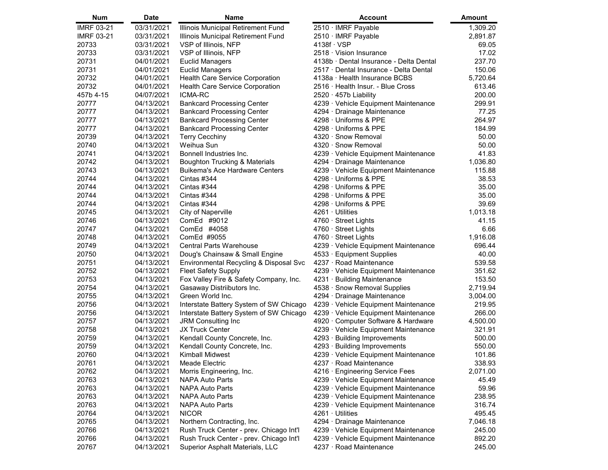| Num               | <b>Date</b> | <b>Name</b>                              | <b>Account</b>                          | <b>Amount</b> |
|-------------------|-------------|------------------------------------------|-----------------------------------------|---------------|
| <b>IMRF 03-21</b> | 03/31/2021  | Illinois Municipal Retirement Fund       | 2510 · IMRF Payable                     | 1,309.20      |
| <b>IMRF 03-21</b> | 03/31/2021  | Illinois Municipal Retirement Fund       | 2510 · IMRF Payable                     | 2,891.87      |
| 20733             | 03/31/2021  | VSP of Illinois, NFP                     | $4138f \cdot VSP$                       | 69.05         |
| 20733             | 03/31/2021  | VSP of Illinois, NFP                     | 2518 · Vision Insurance                 | 17.02         |
| 20731             | 04/01/2021  | <b>Euclid Managers</b>                   | 4138b · Dental Insurance - Delta Dental | 237.70        |
| 20731             | 04/01/2021  | <b>Euclid Managers</b>                   | 2517 · Dental Insurance - Delta Dental  | 150.06        |
| 20732             | 04/01/2021  | Health Care Service Corporation          | 4138a · Health Insurance BCBS           | 5,720.64      |
| 20732             | 04/01/2021  | Health Care Service Corporation          | 2516 · Health Insur. - Blue Cross       | 613.46        |
| 457b 4-15         | 04/07/2021  | <b>ICMA-RC</b>                           | $2520 \cdot 457b$ Liability             | 200.00        |
| 20777             | 04/13/2021  | <b>Bankcard Processing Center</b>        | 4239 · Vehicle Equipment Maintenance    | 299.91        |
| 20777             | 04/13/2021  | <b>Bankcard Processing Center</b>        | 4294 · Drainage Maintenance             | 77.25         |
| 20777             | 04/13/2021  | <b>Bankcard Processing Center</b>        | 4298 · Uniforms & PPE                   | 264.97        |
| 20777             | 04/13/2021  | <b>Bankcard Processing Center</b>        | $4298 \cdot$ Uniforms & PPE             | 184.99        |
| 20739             | 04/13/2021  | <b>Terry Cecchiny</b>                    | 4320 · Snow Removal                     | 50.00         |
| 20740             | 04/13/2021  | Weihua Sun                               | 4320 · Snow Removal                     | 50.00         |
| 20741             | 04/13/2021  | Bonnell Industries Inc.                  | 4239 · Vehicle Equipment Maintenance    | 41.83         |
| 20742             | 04/13/2021  | <b>Boughton Trucking &amp; Materials</b> | 4294 Drainage Maintenance               | 1,036.80      |
| 20743             | 04/13/2021  | <b>Buikema's Ace Hardware Centers</b>    | 4239 · Vehicle Equipment Maintenance    | 115.88        |
| 20744             | 04/13/2021  | Cintas #344                              | 4298 Uniforms & PPE                     | 38.53         |
| 20744             | 04/13/2021  | Cintas #344                              | 4298 Uniforms & PPE                     | 35.00         |
| 20744             | 04/13/2021  | Cintas #344                              | 4298 Uniforms & PPE                     | 35.00         |
| 20744             | 04/13/2021  | Cintas #344                              | 4298 Uniforms & PPE                     | 39.69         |
| 20745             | 04/13/2021  | City of Naperville                       | 4261 · Utilities                        | 1,013.18      |
| 20746             | 04/13/2021  | ComEd #9012                              | 4760 · Street Lights                    | 41.15         |
| 20747             | 04/13/2021  | ComEd #4058                              | 4760 · Street Lights                    | 6.66          |
| 20748             | 04/13/2021  | ComEd #9055                              | 4760 Street Lights                      | 1,916.08      |
| 20749             | 04/13/2021  | <b>Central Parts Warehouse</b>           | 4239 · Vehicle Equipment Maintenance    | 696.44        |
| 20750             | 04/13/2021  | Doug's Chainsaw & Small Engine           | 4533 · Equipment Supplies               | 40.00         |
| 20751             | 04/13/2021  | Environmental Recycling & Disposal Svc   | 4237 · Road Maintenance                 | 539.58        |
| 20752             | 04/13/2021  | <b>Fleet Safety Supply</b>               | 4239 · Vehicle Equipment Maintenance    | 351.62        |
| 20753             | 04/13/2021  | Fox Valley Fire & Safety Company, Inc.   | 4231 · Building Maintenance             | 153.50        |
| 20754             | 04/13/2021  | Gasaway Distriibutors Inc.               | 4538 · Snow Removal Supplies            | 2,719.94      |
| 20755             | 04/13/2021  | Green World Inc.                         | 4294 · Drainage Maintenance             | 3,004.00      |
| 20756             | 04/13/2021  | Interstate Battery System of SW Chicago  | 4239 · Vehicle Equipment Maintenance    | 219.95        |
| 20756             | 04/13/2021  | Interstate Battery System of SW Chicago  | 4239 · Vehicle Equipment Maintenance    | 266.00        |
| 20757             | 04/13/2021  | JRM Consulting Inc                       | 4920 · Computer Software & Hardware     | 4,500.00      |
| 20758             | 04/13/2021  | <b>JX Truck Center</b>                   | 4239 · Vehicle Equipment Maintenance    | 321.91        |
| 20759             | 04/13/2021  | Kendall County Concrete, Inc.            | $4293 \cdot$ Building Improvements      | 500.00        |
| 20759             | 04/13/2021  | Kendall County Concrete, Inc.            | 4293 · Building Improvements            | 550.00        |
| 20760             | 04/13/2021  | Kimball Midwest                          | 4239 · Vehicle Equipment Maintenance    | 101.86        |
| 20761             | 04/13/2021  | <b>Meade Electric</b>                    | 4237 · Road Maintenance                 | 338.93        |
| 20762             | 04/13/2021  | Morris Engineering, Inc.                 | 4216 · Engineering Service Fees         | 2,071.00      |
| 20763             | 04/13/2021  | <b>NAPA Auto Parts</b>                   | 4239 · Vehicle Equipment Maintenance    | 45.49         |
| 20763             | 04/13/2021  | <b>NAPA Auto Parts</b>                   | 4239 Vehicle Equipment Maintenance      | 59.96         |
| 20763             | 04/13/2021  | <b>NAPA Auto Parts</b>                   | 4239 Vehicle Equipment Maintenance      | 238.95        |
| 20763             | 04/13/2021  | <b>NAPA Auto Parts</b>                   | 4239 Vehicle Equipment Maintenance      | 316.74        |
| 20764             | 04/13/2021  | <b>NICOR</b>                             | 4261 · Utilities                        | 495.45        |
| 20765             | 04/13/2021  | Northern Contracting, Inc.               | 4294 · Drainage Maintenance             | 7,046.18      |
| 20766             | 04/13/2021  | Rush Truck Center - prev. Chicago Int'l  | 4239 Vehicle Equipment Maintenance      | 245.00        |
| 20766             | 04/13/2021  | Rush Truck Center - prev. Chicago Int'l  | 4239 Vehicle Equipment Maintenance      | 892.20        |
| 20767             | 04/13/2021  | Superior Asphalt Materials, LLC          | 4237 · Road Maintenance                 | 245.00        |
|                   |             |                                          |                                         |               |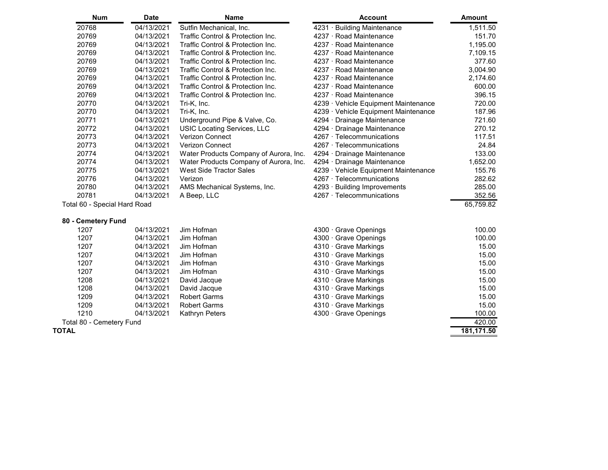| <b>Date</b>                  | <b>Name</b>                            | <b>Account</b>                       | <b>Amount</b> |
|------------------------------|----------------------------------------|--------------------------------------|---------------|
| 04/13/2021                   | Sutfin Mechanical, Inc.                | 4231 · Building Maintenance          | 1,511.50      |
| 04/13/2021                   | Traffic Control & Protection Inc.      | 4237 · Road Maintenance              | 151.70        |
| 04/13/2021                   | Traffic Control & Protection Inc.      | 4237 · Road Maintenance              | 1,195.00      |
| 04/13/2021                   | Traffic Control & Protection Inc.      | 4237 · Road Maintenance              | 7,109.15      |
| 04/13/2021                   | Traffic Control & Protection Inc.      | 4237 · Road Maintenance              | 377.60        |
| 04/13/2021                   | Traffic Control & Protection Inc.      | 4237 · Road Maintenance              | 3,004.90      |
| 04/13/2021                   | Traffic Control & Protection Inc.      | 4237 · Road Maintenance              | 2,174.60      |
| 04/13/2021                   | Traffic Control & Protection Inc.      | 4237 · Road Maintenance              | 600.00        |
| 04/13/2021                   | Traffic Control & Protection Inc.      | 4237 · Road Maintenance              | 396.15        |
| 04/13/2021                   | Tri-K, Inc.                            | 4239 · Vehicle Equipment Maintenance | 720.00        |
| 04/13/2021                   | Tri-K, Inc.                            | 4239 Vehicle Equipment Maintenance   | 187.96        |
| 04/13/2021                   | Underground Pipe & Valve, Co.          | 4294 · Drainage Maintenance          | 721.60        |
| 04/13/2021                   | USIC Locating Services, LLC            | 4294 · Drainage Maintenance          | 270.12        |
| 04/13/2021                   | <b>Verizon Connect</b>                 | 4267 · Telecommunications            | 117.51        |
| 04/13/2021                   | Verizon Connect                        | 4267 · Telecommunications            | 24.84         |
| 04/13/2021                   | Water Products Company of Aurora, Inc. | 4294 · Drainage Maintenance          | 133.00        |
| 04/13/2021                   | Water Products Company of Aurora, Inc. | 4294 Drainage Maintenance            | 1,652.00      |
| 04/13/2021                   | <b>West Side Tractor Sales</b>         | 4239 Vehicle Equipment Maintenance   | 155.76        |
| 04/13/2021                   | Verizon                                | 4267 Telecommunications              | 282.62        |
| 04/13/2021                   |                                        | 4293 · Building Improvements         | 285.00        |
| 04/13/2021                   | A Beep, LLC                            | 4267 · Telecommunications            | 352.56        |
| Total 60 - Special Hard Road |                                        |                                      | 65,759.82     |
| 80 - Cemetery Fund           |                                        |                                      |               |
| 04/13/2021                   | Jim Hofman                             | 4300 Grave Openings                  | 100.00        |
|                              |                                        | AMS Mechanical Systems, Inc.         |               |

| 1207                     | <u>04/13/2021</u> | Jim Holman          | 4300 Grave Openings         | TUU.UU |
|--------------------------|-------------------|---------------------|-----------------------------|--------|
| 1207                     | 04/13/2021        | Jim Hofman          | $4300 \cdot$ Grave Openings | 100.00 |
| 1207                     | 04/13/2021        | Jim Hofman          | 4310 · Grave Markings       | 15.00  |
| 1207                     | 04/13/2021        | Jim Hofman          | $4310 \cdot$ Grave Markings | 15.00  |
| 1207                     | 04/13/2021        | Jim Hofman          | $4310 \cdot$ Grave Markings | 15.00  |
| 1207                     | 04/13/2021        | Jim Hofman          | $4310 \cdot$ Grave Markings | 15.00  |
| 1208                     | 04/13/2021        | David Jacque        | $4310 \cdot$ Grave Markings | 15.00  |
| 1208                     | 04/13/2021        | David Jacque        | $4310 \cdot$ Grave Markings | 15.00  |
| 1209                     | 04/13/2021        | <b>Robert Garms</b> | $4310 \cdot$ Grave Markings | 15.00  |
| 1209                     | 04/13/2021        | <b>Robert Garms</b> | $4310 \cdot$ Grave Markings | 15.00  |
| 1210                     | 04/13/2021        | Kathryn Peters      | $4300 \cdot$ Grave Openings | 100.00 |
| Total 80 - Cemetery Fund |                   |                     |                             | 420.00 |
|                          |                   |                     |                             |        |

**TOTAL 181,171.50**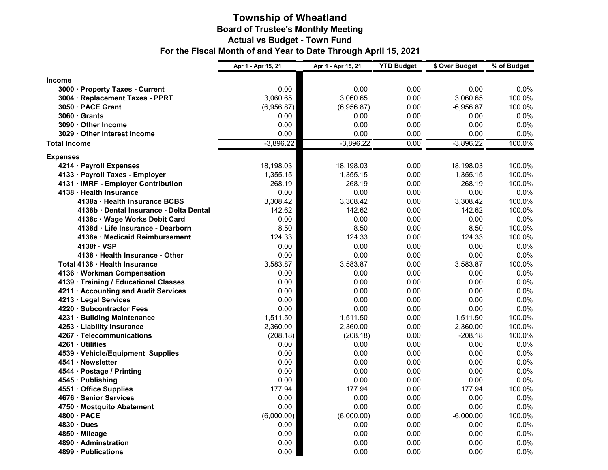#### **Township of Wheatland Board of Trustee's Monthly Meeting Actual vs Budget - Town Fund For the Fiscal Month of and Year to Date Through April 15, 2021**

| <b>Income</b><br>0.00<br>0.00<br>0.00<br>0.00<br>$0.0\%$<br>3000 · Property Taxes - Current<br>3,060.65<br>3,060.65<br>3,060.65<br>100.0%<br>3004 · Replacement Taxes - PPRT<br>0.00<br>3050 · PACE Grant<br>(6,956.87)<br>0.00<br>$-6,956.87$<br>100.0%<br>(6,956.87)<br>0.00<br>0.0%<br>$3060 \cdot$ Grants<br>0.00<br>0.00<br>0.00<br>0.00<br>0.00<br>0.00<br>0.0%<br>3090 · Other Income<br>0.00<br>0.00<br>0.00<br>0.0%<br>3029 · Other Interest Income<br>0.00<br>0.00<br>$-3,896.22$<br>$-3,896.22$<br>0.00<br>$-3,896.22$<br>100.0%<br><b>Total Income</b><br><b>Expenses</b><br>4214 · Payroll Expenses<br>18,198.03<br>18,198.03<br>0.00<br>18,198.03<br>100.0%<br>4133 · Payroll Taxes - Employer<br>1,355.15<br>1,355.15<br>0.00<br>1,355.15<br>100.0% |
|--------------------------------------------------------------------------------------------------------------------------------------------------------------------------------------------------------------------------------------------------------------------------------------------------------------------------------------------------------------------------------------------------------------------------------------------------------------------------------------------------------------------------------------------------------------------------------------------------------------------------------------------------------------------------------------------------------------------------------------------------------------------|
|                                                                                                                                                                                                                                                                                                                                                                                                                                                                                                                                                                                                                                                                                                                                                                    |
|                                                                                                                                                                                                                                                                                                                                                                                                                                                                                                                                                                                                                                                                                                                                                                    |
|                                                                                                                                                                                                                                                                                                                                                                                                                                                                                                                                                                                                                                                                                                                                                                    |
|                                                                                                                                                                                                                                                                                                                                                                                                                                                                                                                                                                                                                                                                                                                                                                    |
|                                                                                                                                                                                                                                                                                                                                                                                                                                                                                                                                                                                                                                                                                                                                                                    |
|                                                                                                                                                                                                                                                                                                                                                                                                                                                                                                                                                                                                                                                                                                                                                                    |
|                                                                                                                                                                                                                                                                                                                                                                                                                                                                                                                                                                                                                                                                                                                                                                    |
|                                                                                                                                                                                                                                                                                                                                                                                                                                                                                                                                                                                                                                                                                                                                                                    |
|                                                                                                                                                                                                                                                                                                                                                                                                                                                                                                                                                                                                                                                                                                                                                                    |
|                                                                                                                                                                                                                                                                                                                                                                                                                                                                                                                                                                                                                                                                                                                                                                    |
|                                                                                                                                                                                                                                                                                                                                                                                                                                                                                                                                                                                                                                                                                                                                                                    |
| 268.19<br>100.0%<br>4131 · IMRF - Employer Contribution<br>268.19<br>268.19<br>0.00                                                                                                                                                                                                                                                                                                                                                                                                                                                                                                                                                                                                                                                                                |
| 4138 · Health Insurance<br>0.00<br>0.00<br>0.00<br>0.0%<br>0.00                                                                                                                                                                                                                                                                                                                                                                                                                                                                                                                                                                                                                                                                                                    |
| 100.0%<br>4138a · Health Insurance BCBS<br>3,308.42<br>3,308.42<br>0.00<br>3,308.42                                                                                                                                                                                                                                                                                                                                                                                                                                                                                                                                                                                                                                                                                |
| 4138b · Dental Insurance - Delta Dental<br>142.62<br>142.62<br>0.00<br>100.0%<br>142.62                                                                                                                                                                                                                                                                                                                                                                                                                                                                                                                                                                                                                                                                            |
| 0.00<br>0.00<br>0.00<br>0.00<br>$0.0\%$<br>4138c · Wage Works Debit Card                                                                                                                                                                                                                                                                                                                                                                                                                                                                                                                                                                                                                                                                                           |
| 100.0%<br>8.50<br>8.50<br>0.00<br>8.50<br>4138d · Life Insurance - Dearborn                                                                                                                                                                                                                                                                                                                                                                                                                                                                                                                                                                                                                                                                                        |
| 4138e · Medicaid Reimbursement<br>124.33<br>124.33<br>0.00<br>124.33<br>100.0%                                                                                                                                                                                                                                                                                                                                                                                                                                                                                                                                                                                                                                                                                     |
| 4138f · VSP<br>0.00<br>0.00<br>0.00<br>0.00<br>0.0%                                                                                                                                                                                                                                                                                                                                                                                                                                                                                                                                                                                                                                                                                                                |
| 4138 · Health Insurance - Other<br>0.00<br>0.00<br>0.00<br>0.0%<br>0.00                                                                                                                                                                                                                                                                                                                                                                                                                                                                                                                                                                                                                                                                                            |
| 3,583.87<br>100.0%<br>3,583.87<br>3,583.87<br>Total 4138 · Health Insurance<br>0.00                                                                                                                                                                                                                                                                                                                                                                                                                                                                                                                                                                                                                                                                                |
| 0.0%<br>4136 · Workman Compensation<br>0.00<br>0.00<br>0.00<br>0.00                                                                                                                                                                                                                                                                                                                                                                                                                                                                                                                                                                                                                                                                                                |
| 0.00<br>0.00<br>0.00<br>0.0%<br>4139 · Training / Educational Classes<br>0.00                                                                                                                                                                                                                                                                                                                                                                                                                                                                                                                                                                                                                                                                                      |
| 0.00<br>0.00<br>0.00<br>0.0%<br>4211 · Accounting and Audit Services<br>0.00                                                                                                                                                                                                                                                                                                                                                                                                                                                                                                                                                                                                                                                                                       |
| 0.0%<br>4213 · Legal Services<br>0.00<br>0.00<br>0.00<br>0.00                                                                                                                                                                                                                                                                                                                                                                                                                                                                                                                                                                                                                                                                                                      |
| 0.00<br>0.00<br>0.00<br>0.0%<br>4220 · Subcontractor Fees<br>0.00                                                                                                                                                                                                                                                                                                                                                                                                                                                                                                                                                                                                                                                                                                  |
| 1,511.50<br>100.0%<br>4231 · Building Maintenance<br>1,511.50<br>0.00<br>1,511.50                                                                                                                                                                                                                                                                                                                                                                                                                                                                                                                                                                                                                                                                                  |
| 4253 · Liability Insurance<br>2,360.00<br>2,360.00<br>0.00<br>2,360.00<br>100.0%                                                                                                                                                                                                                                                                                                                                                                                                                                                                                                                                                                                                                                                                                   |
| 4267 · Telecommunications<br>(208.18)<br>0.00<br>$-208.18$<br>100.0%<br>(208.18)                                                                                                                                                                                                                                                                                                                                                                                                                                                                                                                                                                                                                                                                                   |
| 0.00<br>0.00<br>0.0%<br>4261 · Utilities<br>0.00<br>0.00                                                                                                                                                                                                                                                                                                                                                                                                                                                                                                                                                                                                                                                                                                           |
| 0.0%<br>0.00<br>0.00<br>0.00<br>0.00<br>4539 · Vehicle/Equipment Supplies                                                                                                                                                                                                                                                                                                                                                                                                                                                                                                                                                                                                                                                                                          |
| 0.0%<br>0.00<br>0.00<br>0.00<br>4541 · Newsletter<br>0.00                                                                                                                                                                                                                                                                                                                                                                                                                                                                                                                                                                                                                                                                                                          |
| 0.0%<br>4544 · Postage / Printing<br>0.00<br>0.00<br>0.00<br>0.00                                                                                                                                                                                                                                                                                                                                                                                                                                                                                                                                                                                                                                                                                                  |
| 0.00<br>0.00<br>0.0%<br>4545 · Publishing<br>0.00<br>0.00                                                                                                                                                                                                                                                                                                                                                                                                                                                                                                                                                                                                                                                                                                          |
| 177.94<br>177.94<br>177.94<br>100.0%<br>4551 · Office Supplies<br>0.00<br>0.0%                                                                                                                                                                                                                                                                                                                                                                                                                                                                                                                                                                                                                                                                                     |
| 4676 · Senior Services<br>0.00<br>0.00<br>0.00<br>0.00<br>0.00<br>0.00<br>0.0%<br>0.00<br>0.00                                                                                                                                                                                                                                                                                                                                                                                                                                                                                                                                                                                                                                                                     |
| 4750 · Mostquito Abatement<br>(6,000.00)<br>(6,000.00)<br>$-6,000.00$<br>100.0%<br>4800 · PACE                                                                                                                                                                                                                                                                                                                                                                                                                                                                                                                                                                                                                                                                     |
| 0.00<br>0.0%<br>4830 · Dues<br>0.00<br>0.00<br>0.00<br>0.00                                                                                                                                                                                                                                                                                                                                                                                                                                                                                                                                                                                                                                                                                                        |
| 0.0%<br>0.00<br>0.00<br>0.00<br>0.00<br>4850 · Mileage                                                                                                                                                                                                                                                                                                                                                                                                                                                                                                                                                                                                                                                                                                             |
| 4890 · Adminstration<br>0.00<br>0.00<br>0.00<br>0.0%<br>0.00                                                                                                                                                                                                                                                                                                                                                                                                                                                                                                                                                                                                                                                                                                       |
| 0.00<br>0.0%<br>0.00<br>0.00<br>4899 · Publications<br>0.00                                                                                                                                                                                                                                                                                                                                                                                                                                                                                                                                                                                                                                                                                                        |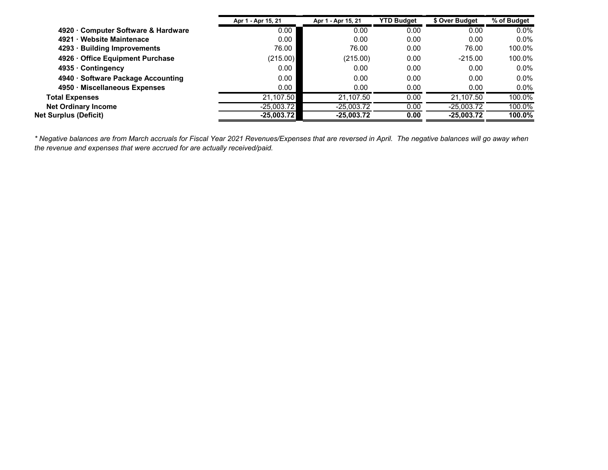|                                    | Apr 1 - Apr 15, 21 | Apr 1 - Apr 15, 21 | <b>YTD Budget</b> | \$ Over Budget | % of Budget |
|------------------------------------|--------------------|--------------------|-------------------|----------------|-------------|
| 4920 Computer Software & Hardware  | 0.00               | 0.00               | 0.00              | 0.00           | $0.0\%$     |
| 4921 · Website Maintenace          | 0.00               | 0.00               | 0.00              | 0.00           | $0.0\%$     |
| 4293 · Building Improvements       | 76.00              | 76.00              | 0.00              | 76.00          | 100.0%      |
| 4926 Office Equipment Purchase     | (215.00)           | (215.00)           | 0.00              | $-215.00$      | 100.0%      |
| 4935 · Contingency                 | 0.00               | 0.00               | 0.00              | 0.00           | $0.0\%$     |
| 4940 · Software Package Accounting | 0.00               | 0.00               | 0.00              | 0.00           | $0.0\%$     |
| 4950 · Miscellaneous Expenses      | 0.00               | 0.00               | 0.00              | 0.00           | $0.0\%$     |
| <b>Total Expenses</b>              | 21.107.50          | 21.107.50          | 0.00              | 21.107.50      | 100.0%      |
| <b>Net Ordinary Income</b>         | $-25.003.72$       | $-25,003.72$       | 0.00              | $-25,003.72$   | 100.0%      |
| <b>Net Surplus (Deficit)</b>       | $-25,003.72$       | $-25,003.72$       | 0.00              | $-25,003.72$   | 100.0%      |

*\* Negative balances are from March accruals for Fiscal Year 2021 Revenues/Expenses that are reversed in April. The negative balances will go away when the revenue and expenses that were accrued for are actually received/paid.*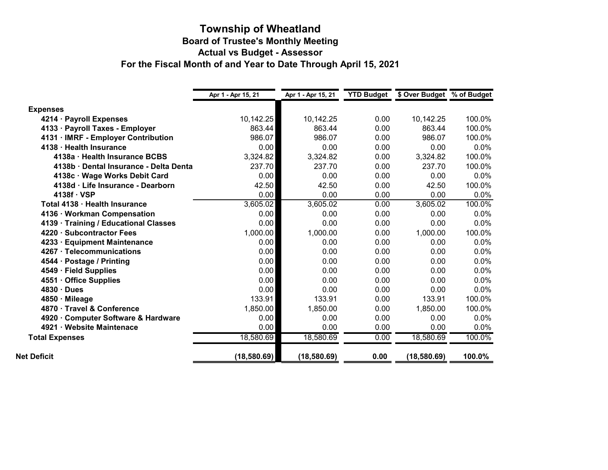#### **Township of Wheatland Board of Trustee's Monthly Meeting Actual vs Budget - Assessor For the Fiscal Month of and Year to Date Through April 15, 2021**

|                                        | Apr 1 - Apr 15, 21 | Apr 1 - Apr 15, 21 | <b>YTD Budget</b> | \$ Over Budget % of Budget |         |
|----------------------------------------|--------------------|--------------------|-------------------|----------------------------|---------|
| <b>Expenses</b>                        |                    |                    |                   |                            |         |
| 4214 · Payroll Expenses                | 10,142.25          | 10,142.25          | 0.00              | 10,142.25                  | 100.0%  |
| 4133 · Payroll Taxes - Employer        | 863.44             | 863.44             | 0.00              | 863.44                     | 100.0%  |
| 4131 · IMRF - Employer Contribution    | 986.07             | 986.07             | 0.00              | 986.07                     | 100.0%  |
| 4138 · Health Insurance                | 0.00               | 0.00               | 0.00              | 0.00                       | 0.0%    |
| 4138a · Health Insurance BCBS          | 3,324.82           | 3,324.82           | 0.00              | 3,324.82                   | 100.0%  |
| 4138b · Dental Insurance - Delta Denta | 237.70             | 237.70             | 0.00              | 237.70                     | 100.0%  |
| 4138c · Wage Works Debit Card          | 0.00               | 0.00               | 0.00              | 0.00                       | 0.0%    |
| 4138d · Life Insurance - Dearborn      | 42.50              | 42.50              | 0.00              | 42.50                      | 100.0%  |
| $4138f \cdot VSP$                      | 0.00               | 0.00               | 0.00              | 0.00                       | 0.0%    |
| Total 4138 · Health Insurance          | 3,605.02           | 3,605.02           | 0.00              | 3,605.02                   | 100.0%  |
| 4136 · Workman Compensation            | 0.00               | 0.00               | 0.00              | 0.00                       | $0.0\%$ |
| 4139 · Training / Educational Classes  | 0.00               | 0.00               | 0.00              | 0.00                       | 0.0%    |
| 4220 · Subcontractor Fees              | 1,000.00           | 1,000.00           | 0.00              | 1,000.00                   | 100.0%  |
| 4233 · Equipment Maintenance           | 0.00               | 0.00               | 0.00              | 0.00                       | 0.0%    |
| 4267 · Telecommunications              | 0.00               | 0.00               | 0.00              | 0.00                       | 0.0%    |
| 4544 · Postage / Printing              | 0.00               | 0.00               | 0.00              | 0.00                       | 0.0%    |
| 4549 · Field Supplies                  | 0.00               | 0.00               | 0.00              | 0.00                       | 0.0%    |
| 4551 Office Supplies                   | 0.00               | 0.00               | 0.00              | 0.00                       | $0.0\%$ |
| $4830 \cdot$ Dues                      | 0.00               | 0.00               | 0.00              | 0.00                       | 0.0%    |
| 4850 · Mileage                         | 133.91             | 133.91             | 0.00              | 133.91                     | 100.0%  |
| 4870 Travel & Conference               | 1,850.00           | 1,850.00           | 0.00              | 1,850.00                   | 100.0%  |
| 4920 · Computer Software & Hardware    | 0.00               | 0.00               | 0.00              | 0.00                       | 0.0%    |
| 4921 · Website Maintenace              | 0.00               | 0.00               | 0.00              | 0.00                       | $0.0\%$ |
| <b>Total Expenses</b>                  | 18,580.69          | 18,580.69          | 0.00              | 18,580.69                  | 100.0%  |
| <b>Net Deficit</b>                     | (18,580.69)        | (18, 580.69)       | 0.00              | (18,580.69)                | 100.0%  |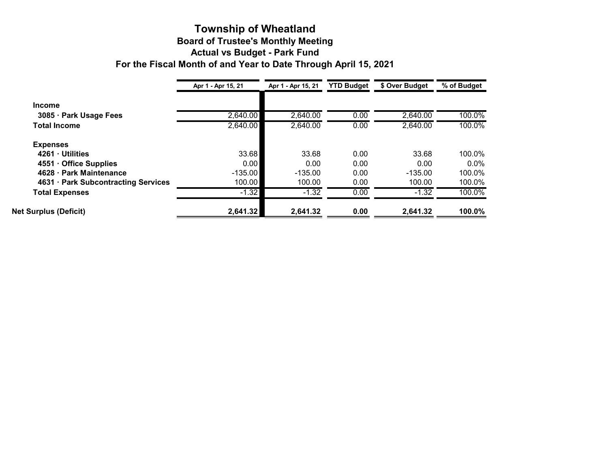#### **Township of Wheatland Board of Trustee's Monthly Meeting Actual vs Budget - Park Fund For the Fiscal Month of and Year to Date Through April 15, 2021**

|                                     | Apr 1 - Apr 15, 21 | Apr 1 - Apr 15, 21 | <b>YTD Budget</b> | \$ Over Budget | % of Budget |
|-------------------------------------|--------------------|--------------------|-------------------|----------------|-------------|
| <b>Income</b>                       |                    |                    |                   |                |             |
| 3085 · Park Usage Fees              | 2,640.00           | 2,640.00           | 0.00              | 2,640.00       | 100.0%      |
| <b>Total Income</b>                 | 2,640.00           | 2,640.00           | 0.00              | 2,640.00       | 100.0%      |
| <b>Expenses</b>                     |                    |                    |                   |                |             |
| 4261 · Utilities                    | 33.68              | 33.68              | 0.00              | 33.68          | 100.0%      |
| 4551 Office Supplies                | 0.001              | 0.00               | 0.00              | 0.00           | $0.0\%$     |
| 4628 · Park Maintenance             | $-135.00$          | $-135.00$          | 0.00              | $-135.00$      | 100.0%      |
| 4631 · Park Subcontracting Services | 100.00             | 100.00             | 0.00              | 100.00         | 100.0%      |
| <b>Total Expenses</b>               | $-1.32$            | $-1.32$            | 0.00              | $-1.32$        | 100.0%      |
| <b>Net Surplus (Deficit)</b>        | 2,641.32           | 2,641.32           | 0.00              | 2,641.32       | 100.0%      |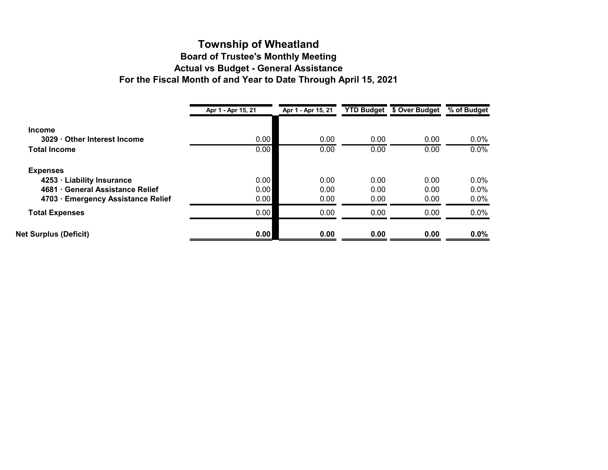#### **Township of Wheatland Board of Trustee's Monthly Meeting Actual vs Budget - General Assistance For the Fiscal Month of and Year to Date Through April 15, 2021**

| Apr 1 - Apr 15, 21 | Apr 1 - Apr 15, 21 |      | \$ Over Budget | % of Budget       |
|--------------------|--------------------|------|----------------|-------------------|
|                    |                    |      |                |                   |
| 0.00               | 0.00               | 0.00 | 0.00           | $0.0\%$           |
| 0.00               | 0.00               | 0.00 | 0.00           | $0.0\%$           |
|                    |                    |      |                |                   |
| 0.00               | 0.00               | 0.00 | 0.00           | $0.0\%$           |
| 0.00               | 0.00               | 0.00 | 0.00           | 0.0%              |
| 0.00               | 0.00               | 0.00 | 0.00           | $0.0\%$           |
| 0.00               | 0.00               | 0.00 | 0.00           | $0.0\%$           |
| 0.00               | 0.00               | 0.00 | 0.00           | $0.0\%$           |
|                    |                    |      |                | <b>YTD Budget</b> |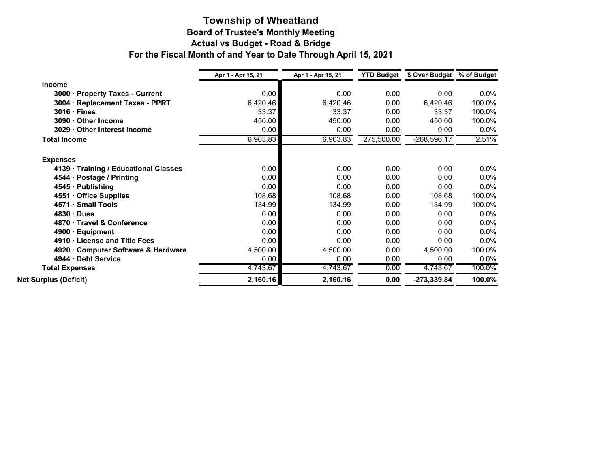#### **Township of Wheatland Board of Trustee's Monthly Meeting Actual vs Budget - Road & Bridge For the Fiscal Month of and Year to Date Through April 15, 2021**

|                                             | Apr 1 - Apr 15, 21 | Apr 1 - Apr 15, 21 | <b>YTD Budget</b> | \$ Over Budget | % of Budget |  |
|---------------------------------------------|--------------------|--------------------|-------------------|----------------|-------------|--|
| <b>Income</b>                               |                    |                    |                   |                |             |  |
| $3000 -$<br><b>Property Taxes - Current</b> | 0.00               | 0.00               | 0.00              | 0.00           | $0.0\%$     |  |
| 3004 · Replacement Taxes - PPRT             | 6,420.46           | 6,420.46           | 0.00              | 6,420.46       | 100.0%      |  |
| $3016 \cdot$ Fines                          | 33.37              | 33.37              | 0.00              | 33.37          | 100.0%      |  |
| 3090 · Other Income                         | 450.00             | 450.00             | 0.00              | 450.00         | 100.0%      |  |
| 3029 · Other Interest Income                | 0.00               | 0.00               | 0.00              | 0.00           | 0.0%        |  |
| <b>Total Income</b>                         | 6,903.83           | 6,903.83           | 275,500.00        | $-268,596.17$  | 2.51%       |  |
| <b>Expenses</b>                             |                    |                    |                   |                |             |  |
| 4139 · Training / Educational Classes       | 0.00               | 0.00               | 0.00              | 0.00           | $0.0\%$     |  |
| 4544 · Postage / Printing                   | 0.00               | 0.00               | 0.00              | 0.00           | $0.0\%$     |  |
| 4545 · Publishing                           | 0.00               | 0.00               | 0.00              | 0.00           | $0.0\%$     |  |
| 4551 Office Supplies                        | 108.68             | 108.68             | 0.00              | 108.68         | 100.0%      |  |
| 4571 · Small Tools                          | 134.99             | 134.99             | 0.00              | 134.99         | 100.0%      |  |
| $4830 \cdot$ Dues                           | 0.00               | 0.00               | 0.00              | 0.00           | $0.0\%$     |  |
| 4870 · Travel & Conference                  | 0.00               | 0.00               | 0.00              | 0.00           | $0.0\%$     |  |
| $4900 \cdot$ Equipment                      | 0.00               | 0.00               | 0.00              | 0.00           | $0.0\%$     |  |
| 4910 License and Title Fees                 | 0.00               | 0.00               | 0.00              | 0.00           | $0.0\%$     |  |
| 4920 · Computer Software & Hardware         | 4,500.00           | 4,500.00           | 0.00              | 4,500.00       | 100.0%      |  |
| 4944 · Debt Service                         | 0.00               | 0.00               | 0.00              | 0.00           | $0.0\%$     |  |
| <b>Total Expenses</b>                       | 4,743.67           | 4,743.67           | 0.00              | 4,743.67       | 100.0%      |  |
| <b>Net Surplus (Deficit)</b>                | 2,160.16           | 2,160.16           | 0.00              | $-273,339.84$  | 100.0%      |  |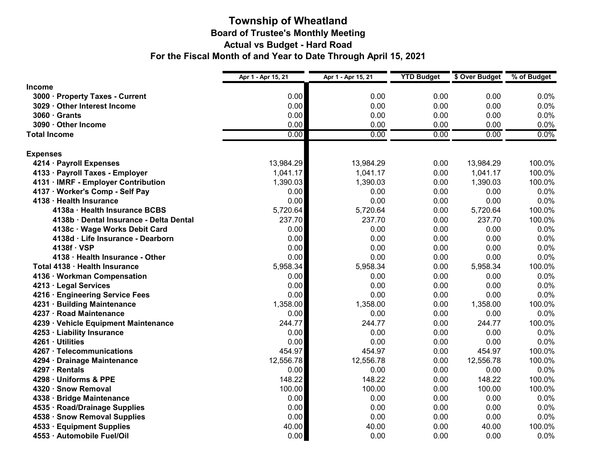#### **Township of Wheatland Board of Trustee's Monthly Meeting Actual vs Budget - Hard Road For the Fiscal Month of and Year to Date Through April 15, 2021**

|                                         | Apr 1 - Apr 15, 21 | Apr 1 - Apr 15, 21 | <b>YTD Budget</b> | \$ Over Budget | % of Budget |
|-----------------------------------------|--------------------|--------------------|-------------------|----------------|-------------|
| <b>Income</b>                           |                    |                    |                   |                |             |
| 3000 · Property Taxes - Current         | 0.00               | 0.00               | 0.00              | 0.00           | 0.0%        |
| 3029 · Other Interest Income            | 0.00               | 0.00               | 0.00              | 0.00           | 0.0%        |
| $3060 \cdot$ Grants                     | 0.00               | 0.00               | 0.00              | 0.00           | 0.0%        |
| 3090 · Other Income                     | 0.00               | 0.00               | 0.00              | 0.00           | 0.0%        |
| <b>Total Income</b>                     | 0.00               | 0.00               | 0.00              | 0.00           | 0.0%        |
| <b>Expenses</b>                         |                    |                    |                   |                |             |
| 4214 · Payroll Expenses                 | 13,984.29          | 13,984.29          | 0.00              | 13,984.29      | 100.0%      |
| 4133 · Payroll Taxes - Employer         | 1,041.17           | 1,041.17           | 0.00              | 1,041.17       | 100.0%      |
| 4131 · IMRF - Employer Contribution     | 1,390.03           | 1,390.03           | 0.00              | 1,390.03       | 100.0%      |
| 4137 · Worker's Comp - Self Pay         | 0.00               | 0.00               | 0.00              | 0.00           | 0.0%        |
| 4138 · Health Insurance                 | 0.00               | 0.00               | 0.00              | 0.00           | 0.0%        |
| 4138a · Health Insurance BCBS           | 5,720.64           | 5,720.64           | 0.00              | 5,720.64       | 100.0%      |
| 4138b · Dental Insurance - Delta Dental | 237.70             | 237.70             | 0.00              | 237.70         | 100.0%      |
| 4138c · Wage Works Debit Card           | 0.00               | 0.00               | 0.00              | 0.00           | 0.0%        |
| 4138d · Life Insurance - Dearborn       | 0.00               | 0.00               | 0.00              | 0.00           | 0.0%        |
| 4138f · VSP                             | 0.00               | 0.00               | 0.00              | 0.00           | 0.0%        |
| 4138 · Health Insurance - Other         | 0.00               | 0.00               | 0.00              | 0.00           | 0.0%        |
| Total 4138 · Health Insurance           | 5,958.34           | 5,958.34           | 0.00              | 5,958.34       | 100.0%      |
| 4136 · Workman Compensation             | 0.00               | 0.00               | 0.00              | 0.00           | 0.0%        |
| 4213 · Legal Services                   | 0.00               | 0.00               | 0.00              | 0.00           | 0.0%        |
| 4216 · Engineering Service Fees         | 0.00               | 0.00               | 0.00              | 0.00           | 0.0%        |
| 4231 · Building Maintenance             | 1,358.00           | 1,358.00           | 0.00              | 1,358.00       | 100.0%      |
| 4237 · Road Maintenance                 | 0.00               | 0.00               | 0.00              | 0.00           | 0.0%        |
| 4239 · Vehicle Equipment Maintenance    | 244.77             | 244.77             | 0.00              | 244.77         | 100.0%      |
| 4253 · Liability Insurance              | 0.00               | 0.00               | 0.00              | 0.00           | 0.0%        |
| 4261 · Utilities                        | 0.00               | 0.00               | 0.00              | 0.00           | 0.0%        |
| 4267 · Telecommunications               | 454.97             | 454.97             | 0.00              | 454.97         | 100.0%      |
| 4294 · Drainage Maintenance             | 12,556.78          | 12,556.78          | 0.00              | 12,556.78      | 100.0%      |
| 4297 · Rentals                          | 0.00               | 0.00               | 0.00              | 0.00           | 0.0%        |
| 4298 · Uniforms & PPE                   | 148.22             | 148.22             | 0.00              | 148.22         | 100.0%      |
| 4320 · Snow Removal                     | 100.00             | 100.00             | 0.00              | 100.00         | 100.0%      |
| 4338 · Bridge Maintenance               | 0.00               | 0.00               | 0.00              | 0.00           | 0.0%        |
| 4535 · Road/Drainage Supplies           | 0.00               | 0.00               | 0.00              | 0.00           | 0.0%        |
| 4538 · Snow Removal Supplies            | 0.00               | 0.00               | 0.00              | 0.00           | 0.0%        |
| 4533 · Equipment Supplies               | 40.00              | 40.00              | 0.00              | 40.00          | 100.0%      |
| 4553 · Automobile Fuel/Oil              | 0.00               | 0.00               | 0.00              | 0.00           | 0.0%        |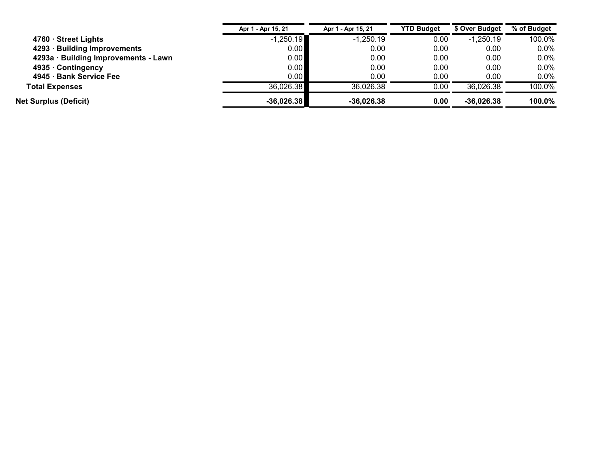|                                      | Apr 1 - Apr 15, 21 | Apr 1 - Apr 15, 21 | <b>YTD Budget</b> | \$ Over Budget | % of Budget |
|--------------------------------------|--------------------|--------------------|-------------------|----------------|-------------|
| $4760 \cdot$ Street Lights           | $-1,250.19$        | $-1,250.19$        | 0.00              | $-1.250.19$    | 100.0%      |
| 4293 · Building Improvements         | 0.00               | 0.00               | 0.00              | 0.00           | $0.0\%$     |
| 4293a · Building Improvements - Lawn | 0.00               | 0.00               | 0.00              | 0.00           | $0.0\%$     |
| 4935 · Contingency                   | 0.00               | 0.00               | 0.00              | 0.00           | 0.0%        |
| 4945 · Bank Service Fee              | 0.00               | 0.00               | 0.00              | 0.00           | $0.0\%$     |
| <b>Total Expenses</b>                | 36,026.38          | 36,026.38          | 0.00              | 36,026.38      | 100.0%      |
| <b>Net Surplus (Deficit)</b>         | $-36,026.38$       | $-36,026.38$       | 0.00              | $-36,026.38$   | 100.0%      |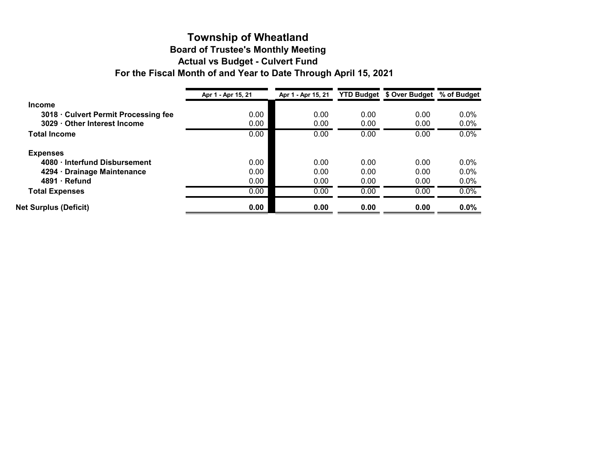# **Township of Wheatland**

# **Board of Trustee's Monthly Meeting**

**Actual vs Budget - Culvert Fund**

**For the Fiscal Month of and Year to Date Through April 15, 2021**

|                                    | Apr 1 - Apr 15, 21 | Apr 1 - Apr 15, 21 |      | <b>YTD Budget \$ Over Budget</b> | % of Budget |  |
|------------------------------------|--------------------|--------------------|------|----------------------------------|-------------|--|
| <b>Income</b>                      |                    |                    |      |                                  |             |  |
| 3018 Culvert Permit Processing fee | 0.00               | 0.00               | 0.00 | 0.00                             | $0.0\%$     |  |
| 3029 Other Interest Income         | 0.00               | 0.00               | 0.00 | 0.00                             | $0.0\%$     |  |
| <b>Total Income</b>                | 0.00               | 0.00               | 0.00 | 0.00                             | $0.0\%$     |  |
| <b>Expenses</b>                    |                    |                    |      |                                  |             |  |
| 4080 Interfund Disbursement        | 0.00               | 0.00               | 0.00 | 0.00                             | $0.0\%$     |  |
| 4294 · Drainage Maintenance        | 0.00               | 0.00               | 0.00 | 0.00                             | $0.0\%$     |  |
| $4891 \cdot$ Refund                | 0.00               | 0.00               | 0.00 | 0.00                             | $0.0\%$     |  |
| <b>Total Expenses</b>              | 0.00               | 0.00               | 0.00 | 0.00                             | 0.0%        |  |
| <b>Net Surplus (Deficit)</b>       | 0.00               | 0.00               | 0.00 | 0.00                             | $0.0\%$     |  |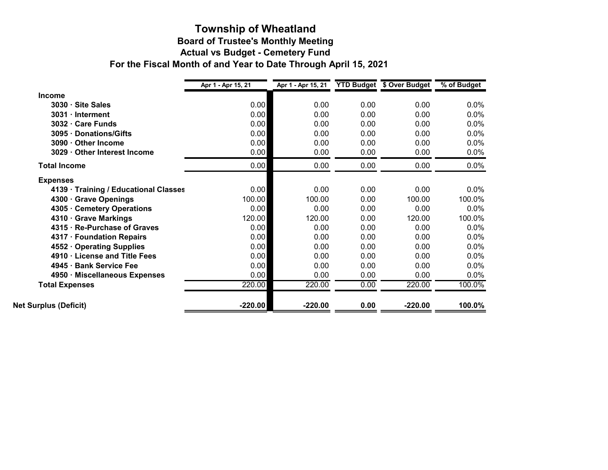#### **Board of Trustee's Monthly Meeting Actual vs Budget - Cemetery Fund Township of Wheatland For the Fiscal Month of and Year to Date Through April 15, 2021**

|                                       | Apr 1 - Apr 15, 21 | Apr 1 - Apr 15, 21 YTD Budget \$ Over Budget |      |           | % of Budget |
|---------------------------------------|--------------------|----------------------------------------------|------|-----------|-------------|
| <b>Income</b>                         |                    |                                              |      |           |             |
| $3030 \cdot$ Site Sales               | 0.00               | 0.00                                         | 0.00 | 0.00      | $0.0\%$     |
| 3031 · Interment                      | 0.00               | 0.00                                         | 0.00 | 0.00      | 0.0%        |
| 3032 · Care Funds                     | 0.00               | 0.00                                         | 0.00 | 0.00      | 0.0%        |
| 3095 · Donations/Gifts                | 0.00               | 0.00                                         | 0.00 | 0.00      | $0.0\%$     |
| 3090 · Other Income                   | 0.00               | 0.00                                         | 0.00 | 0.00      | $0.0\%$     |
| 3029 · Other Interest Income          | 0.00               | 0.00                                         | 0.00 | 0.00      | $0.0\%$     |
| <b>Total Income</b>                   | 0.00               | 0.00                                         | 0.00 | 0.00      | $0.0\%$     |
| <b>Expenses</b>                       |                    |                                              |      |           |             |
| 4139 · Training / Educational Classes | 0.00               | 0.00                                         | 0.00 | 0.00      | $0.0\%$     |
| 4300 · Grave Openings                 | 100.00             | 100.00                                       | 0.00 | 100.00    | 100.0%      |
| 4305 · Cemetery Operations            | 0.00               | 0.00                                         | 0.00 | 0.00      | 0.0%        |
| 4310 · Grave Markings                 | 120.00             | 120.00                                       | 0.00 | 120.00    | 100.0%      |
| 4315 · Re-Purchase of Graves          | 0.00               | 0.00                                         | 0.00 | 0.00      | 0.0%        |
| 4317 · Foundation Repairs             | 0.00               | 0.00                                         | 0.00 | 0.00      | $0.0\%$     |
| 4552 Operating Supplies               | 0.00               | 0.00                                         | 0.00 | 0.00      | $0.0\%$     |
| 4910 · License and Title Fees         | 0.00               | 0.00                                         | 0.00 | 0.00      | 0.0%        |
| 4945 · Bank Service Fee               | 0.00               | 0.00                                         | 0.00 | 0.00      | 0.0%        |
| 4950 · Miscellaneous Expenses         | 0.00               | 0.00                                         | 0.00 | 0.00      | $0.0\%$     |
| <b>Total Expenses</b>                 | 220.00             | 220.00                                       | 0.00 | 220.00    | 100.0%      |
| <b>Net Surplus (Deficit)</b>          | $-220.00$          | $-220.00$                                    | 0.00 | $-220.00$ | 100.0%      |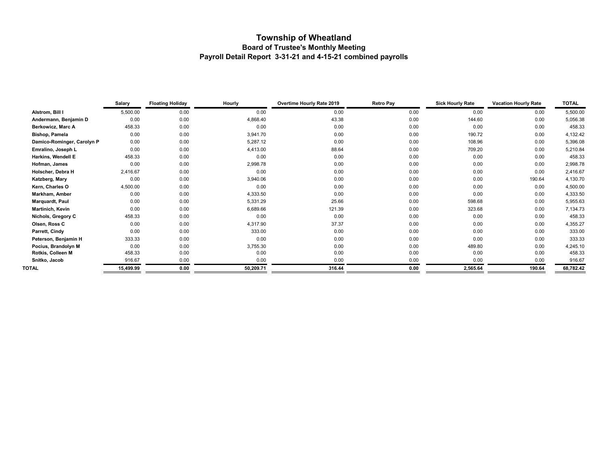#### **Township of Wheatland Board of Trustee's Monthly Meeting Payroll Detail Report 3-31-21 and 4-15-21 combined payrolls**

|                            | Salary    | <b>Floating Holiday</b> | Hourly    | Overtime Hourly Rate 2019 | <b>Retro Pay</b> | <b>Sick Hourly Rate</b> | <b>Vacation Hourly Rate</b> | <b>TOTAL</b> |
|----------------------------|-----------|-------------------------|-----------|---------------------------|------------------|-------------------------|-----------------------------|--------------|
| Alstrom, Bill I            | 5,500.00  | 0.00                    | 0.00      | 0.00                      | 0.00             | 0.00                    | 0.00                        | 5,500.00     |
| Andermann, Benjamin D      | 0.00      | 0.00                    | 4,868.40  | 43.38                     | 0.00             | 144.60                  | 0.00                        | 5,056.38     |
| Berkowicz, Marc A          | 458.33    | 0.00                    | 0.00      | 0.00                      | 0.00             | 0.00                    | 0.00                        | 458.33       |
| <b>Bishop, Pamela</b>      | 0.00      | 0.00                    | 3,941.70  | 0.00                      | 0.00             | 190.72                  | 0.00                        | 4,132.42     |
| Damico-Rominger, Carolyn P | 0.00      | 0.00                    | 5,287.12  | 0.00                      | 0.00             | 108.96                  | 0.00                        | 5,396.08     |
| Emralino, Joseph L         | 0.00      | 0.00                    | 4,413.00  | 88.64                     | 0.00             | 709.20                  | 0.00                        | 5,210.84     |
| Harkins, Wendell E         | 458.33    | 0.00                    | 0.00      | 0.00                      | 0.00             | 0.00                    | 0.00                        | 458.33       |
| Hofman, James              | 0.00      | 0.00                    | 2,998.78  | 0.00                      | 0.00             | 0.00                    | 0.00                        | 2,998.78     |
| Holscher, Debra H          | 2,416.67  | 0.00                    | 0.00      | 0.00                      | 0.00             | 0.00                    | 0.00                        | 2,416.67     |
| Katzberg, Mary             | 0.00      | 0.00                    | 3,940.06  | 0.00                      | 0.00             | 0.00                    | 190.64                      | 4,130.70     |
| Kern, Charles O            | 4,500.00  | 0.00                    | 0.00      | 0.00                      | 0.00             | 0.00                    | 0.00                        | 4,500.00     |
| Markham, Amber             | 0.00      | 0.00                    | 4,333.50  | 0.00                      | 0.00             | 0.00                    | 0.00                        | 4,333.50     |
| Marquardt, Paul            | 0.00      | 0.00                    | 5,331.29  | 25.66                     | 0.00             | 598.68                  | 0.00                        | 5,955.63     |
| Martinich, Kevin           | 0.00      | 0.00                    | 6,689.66  | 121.39                    | 0.00             | 323.68                  | 0.00                        | 7,134.73     |
| Nichols, Gregory C         | 458.33    | 0.00                    | 0.00      | 0.00                      | 0.00             | 0.00                    | 0.00                        | 458.33       |
| Olsen, Ross C              | 0.00      | 0.00                    | 4,317.90  | 37.37                     | 0.00             | 0.00                    | 0.00                        | 4,355.27     |
| Parrett, Cindy             | 0.00      | 0.00                    | 333.00    | 0.00                      | 0.00             | 0.00                    | 0.00                        | 333.00       |
| Peterson, Benjamin H       | 333.33    | 0.00                    | 0.00      | 0.00                      | 0.00             | 0.00                    | 0.00                        | 333.33       |
| Pocius, Brandolyn M        | 0.00      | 0.00                    | 3,755.30  | 0.00                      | 0.00             | 489.80                  | 0.00                        | 4,245.10     |
| Rotkis, Colleen M          | 458.33    | 0.00                    | 0.00      | 0.00                      | 0.00             | 0.00                    | 0.00                        | 458.33       |
| Snitko, Jacob              | 916.67    | 0.00                    | 0.00      | 0.00                      | 0.00             | 0.00                    | 0.00                        | 916.67       |
| TOTAL                      | 15,499.99 | 0.00                    | 50,209.71 | 316.44                    | 0.00             | 2,565.64                | 190.64                      | 68,782.42    |
|                            |           |                         |           |                           |                  |                         |                             |              |